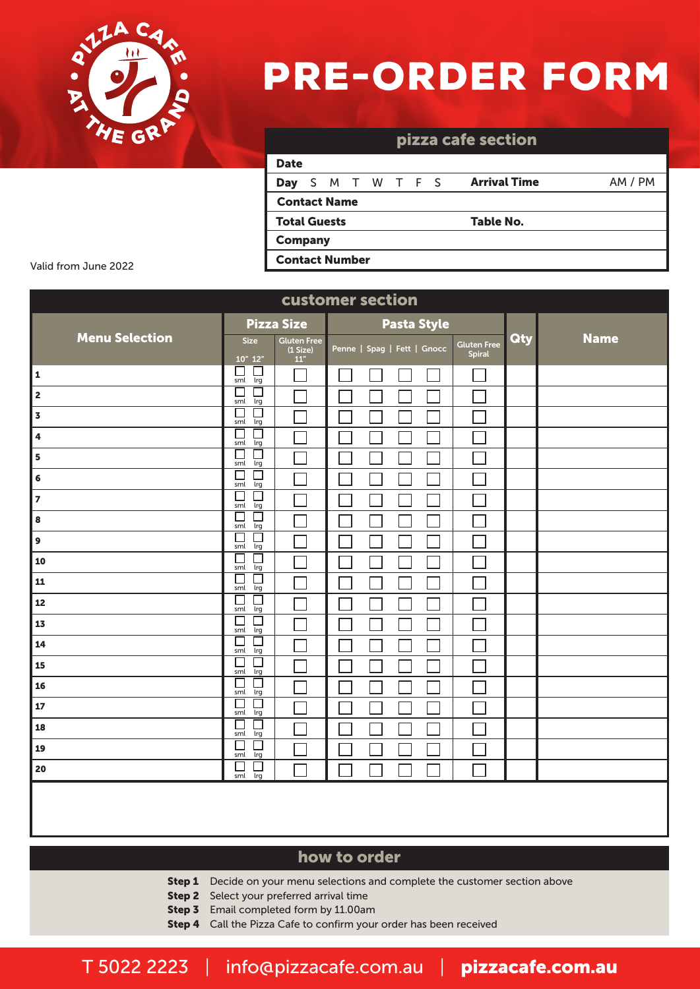

# pre-order FORM

| pizza cafe section    |  |  |  |               |  |  |  |                     |         |
|-----------------------|--|--|--|---------------|--|--|--|---------------------|---------|
| <b>Date</b>           |  |  |  |               |  |  |  |                     |         |
| Day                   |  |  |  | S M T W T F S |  |  |  | <b>Arrival Time</b> | AM / PM |
| <b>Contact Name</b>   |  |  |  |               |  |  |  |                     |         |
| <b>Total Guests</b>   |  |  |  |               |  |  |  | Table No.           |         |
| <b>Company</b>        |  |  |  |               |  |  |  |                     |         |
| <b>Contact Number</b> |  |  |  |               |  |  |  |                     |         |

Valid from June 2022

| customer section        |                                                    |                                          |                             |             |                              |     |             |  |
|-------------------------|----------------------------------------------------|------------------------------------------|-----------------------------|-------------|------------------------------|-----|-------------|--|
|                         |                                                    | <b>Pizza Size</b>                        |                             | Pasta Style |                              |     |             |  |
| <b>Menu Selection</b>   | <b>Size</b><br>10" 12"                             | <b>Gluten Free</b><br>(1 Size)<br>$11''$ | Penne   Spag   Fett   Gnocc |             | <b>Gluten Free</b><br>Spiral | Qty | <b>Name</b> |  |
| $\mathbf 1$             | $\Box$<br>$\Box$<br>sml<br>lrg                     |                                          |                             |             |                              |     |             |  |
| $\overline{\mathbf{c}}$ | □<br>$\Box$<br>sml<br>lrg                          |                                          |                             |             |                              |     |             |  |
| $\overline{\mathbf{3}}$ | $\Box$<br>$\Box$<br>$\overline{\text{lrg}}$<br>sml |                                          |                             |             |                              |     |             |  |
| 4                       | С<br>$\Box$<br>sml<br>lrg                          |                                          |                             |             |                              |     |             |  |
| 5                       | $\Box$<br>□<br>sml<br>lrg                          |                                          |                             |             |                              |     |             |  |
| 6                       | $\Box$<br>$\Box$<br>lrg<br>sml                     |                                          |                             |             |                              |     |             |  |
| $\overline{z}$          | $\Box$<br>$\Box$<br>sml<br>lrg                     |                                          |                             |             |                              |     |             |  |
| 8                       | $\Box$<br>$\Box$<br>sml<br>Irg                     |                                          |                             |             |                              |     |             |  |
| $\mathbf{9}$            | $\Box$<br>$\Box$<br>Irg<br>sml                     |                                          |                             |             |                              |     |             |  |
| 10                      | $\Box$<br>$\Box$<br>$\overline{\text{lrg}}$<br>sml |                                          |                             |             |                              |     |             |  |
| 11                      | □<br>$\Box$<br>sml<br>lrg                          |                                          |                             |             |                              |     |             |  |
| 12                      | $\Box$<br>□<br>$\overline{\text{lrg}}$<br>sml      |                                          |                             |             |                              |     |             |  |
| 13                      | С<br>$\Box$<br>lrg<br>sml                          |                                          |                             |             |                              |     |             |  |
| 14                      | Е<br>□<br>sml<br>lrg                               |                                          |                             |             |                              |     |             |  |
| 15                      | $\Box$<br>$\Box$<br>lrg<br>sml                     |                                          |                             |             |                              |     |             |  |
| 16                      | $\Box$<br>$\Box$<br>sml<br>lrg                     |                                          |                             |             |                              |     |             |  |
| ${\bf 17}$              | $\Box$<br>$\Box$<br>sml<br>lrg                     |                                          |                             |             |                              |     |             |  |
| 18                      | $\Box$<br>$\Box$<br>Irg<br>sml                     |                                          |                             |             |                              |     |             |  |
| 19                      | □<br>□<br>Irg<br>sml                               |                                          |                             |             |                              |     |             |  |
| 20                      | $\Box$<br>$\Box$<br>Irg<br>sml                     |                                          |                             |             |                              |     |             |  |
|                         |                                                    |                                          |                             |             |                              |     |             |  |

# how to order

- **Step 1** Decide on your menu selections and complete the customer section above
- **Step 2** Select your preferred arrival time
- **Step 3** Email completed form by 11.00am
- Step 4 Call the Pizza Cafe to confirm your order has been received